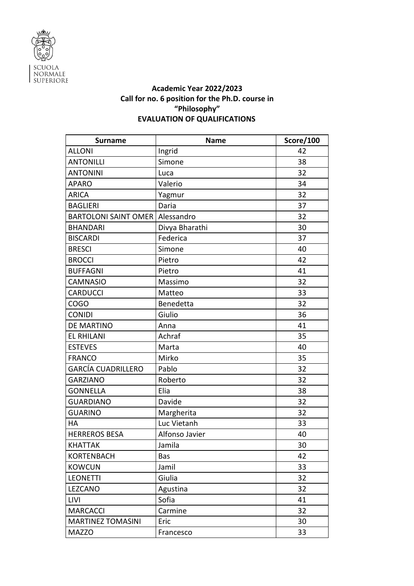

## **Academic Year 2022/2023 Call for no. 6 position for the Ph.D. course in "Philosophy" EVALUATION OF QUALIFICATIONS**

| <b>Surname</b>              | <b>Name</b>    | Score/100 |
|-----------------------------|----------------|-----------|
| <b>ALLONI</b>               | Ingrid         | 42        |
| <b>ANTONILLI</b>            | Simone         | 38        |
| <b>ANTONINI</b>             | Luca           | 32        |
| <b>APARO</b>                | Valerio        | 34        |
| <b>ARICA</b>                | Yagmur         | 32        |
| <b>BAGLIERI</b>             | Daria          | 37        |
| <b>BARTOLONI SAINT OMER</b> | Alessandro     | 32        |
| <b>BHANDARI</b>             | Divya Bharathi | 30        |
| <b>BISCARDI</b>             | Federica       | 37        |
| <b>BRESCI</b>               | Simone         | 40        |
| <b>BROCCI</b>               | Pietro         | 42        |
| <b>BUFFAGNI</b>             | Pietro         | 41        |
| <b>CAMNASIO</b>             | Massimo        | 32        |
| <b>CARDUCCI</b>             | Matteo         | 33        |
| <b>COGO</b>                 | Benedetta      | 32        |
| <b>CONIDI</b>               | Giulio         | 36        |
| DE MARTINO                  | Anna           | 41        |
| <b>EL RHILANI</b>           | Achraf         | 35        |
| <b>ESTEVES</b>              | Marta          | 40        |
| <b>FRANCO</b>               | Mirko          | 35        |
| <b>GARCÍA CUADRILLERO</b>   | Pablo          | 32        |
| <b>GARZIANO</b>             | Roberto        | 32        |
| <b>GONNELLA</b>             | Elia           | 38        |
| <b>GUARDIANO</b>            | Davide         | 32        |
| <b>GUARINO</b>              | Margherita     | 32        |
| <b>HA</b>                   | Luc Vietanh    | 33        |
| <b>HERREROS BESA</b>        | Alfonso Javier | 40        |
| <b>KHATTAK</b>              | Jamila         | 30        |
| <b>KORTENBACH</b>           | Bas            | 42        |
| <b>KOWCUN</b>               | Jamil          | 33        |
| <b>LEONETTI</b>             | Giulia         | 32        |
| LEZCANO                     | Agustina       | 32        |
| <b>LIVI</b>                 | Sofia          | 41        |
| <b>MARCACCI</b>             | Carmine        | 32        |
| <b>MARTINEZ TOMASINI</b>    | Eric           | 30        |
| <b>MAZZO</b>                | Francesco      | 33        |